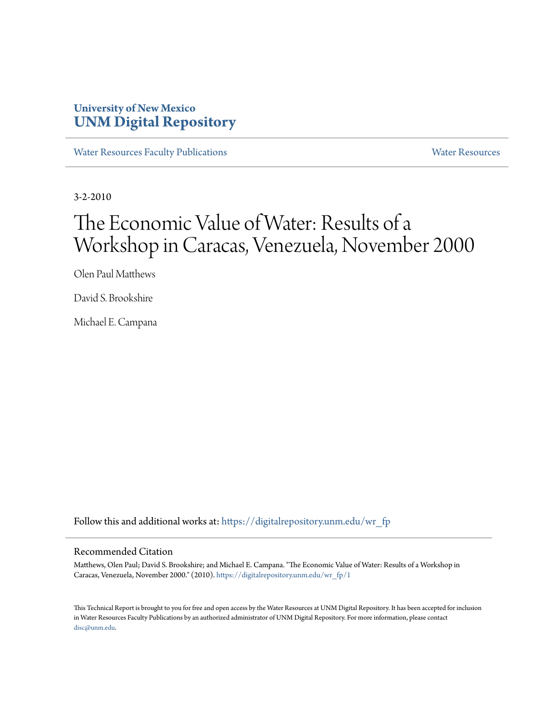## **University of New Mexico [UNM Digital Repository](https://digitalrepository.unm.edu?utm_source=digitalrepository.unm.edu%2Fwr_fp%2F1&utm_medium=PDF&utm_campaign=PDFCoverPages)**

[Water Resources Faculty Publications](https://digitalrepository.unm.edu/wr_fp?utm_source=digitalrepository.unm.edu%2Fwr_fp%2F1&utm_medium=PDF&utm_campaign=PDFCoverPages) **[Water Resources](https://digitalrepository.unm.edu/wr?utm_source=digitalrepository.unm.edu%2Fwr_fp%2F1&utm_medium=PDF&utm_campaign=PDFCoverPages)** Water Resources

3-2-2010

# The Economic Value of Water: Results of a Workshop in Caracas, Venezuela, November 2000

Olen Paul Matthews

David S. Brookshire

Michael E. Campana

Follow this and additional works at: [https://digitalrepository.unm.edu/wr\\_fp](https://digitalrepository.unm.edu/wr_fp?utm_source=digitalrepository.unm.edu%2Fwr_fp%2F1&utm_medium=PDF&utm_campaign=PDFCoverPages)

#### Recommended Citation

Matthews, Olen Paul; David S. Brookshire; and Michael E. Campana. "The Economic Value of Water: Results of a Workshop in Caracas, Venezuela, November 2000." (2010). [https://digitalrepository.unm.edu/wr\\_fp/1](https://digitalrepository.unm.edu/wr_fp/1?utm_source=digitalrepository.unm.edu%2Fwr_fp%2F1&utm_medium=PDF&utm_campaign=PDFCoverPages)

This Technical Report is brought to you for free and open access by the Water Resources at UNM Digital Repository. It has been accepted for inclusion in Water Resources Faculty Publications by an authorized administrator of UNM Digital Repository. For more information, please contact [disc@unm.edu](mailto:disc@unm.edu).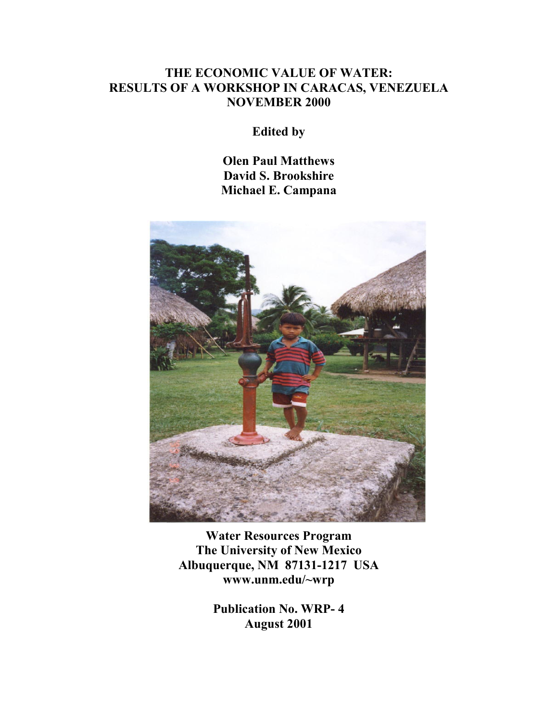## **THE ECONOMIC VALUE OF WATER: RESULTS OF A WORKSHOP IN CARACAS, VENEZUELA NOVEMBER 2000**

**Edited by** 

**Olen Paul Matthews David S. Brookshire Michael E. Campana** 



**Water Resources Program The University of New Mexico Albuquerque, NM 87131-1217 USA www.unm.edu/~wrp** 

> **Publication No. WRP- 4 August 2001**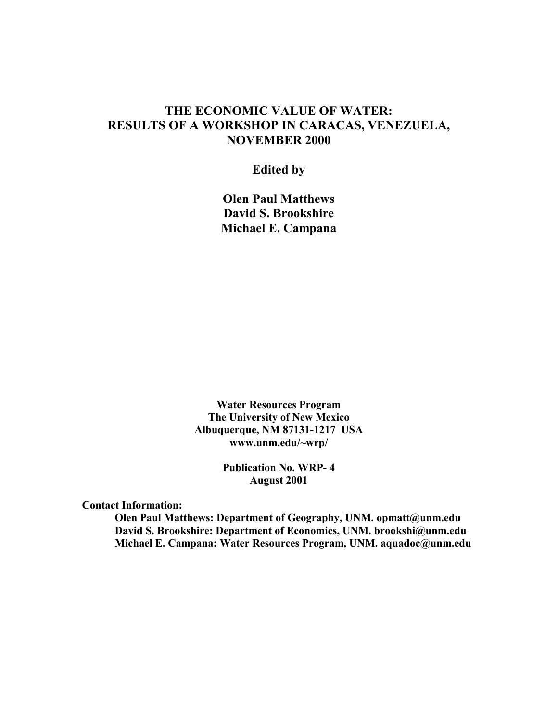## **THE ECONOMIC VALUE OF WATER: RESULTS OF A WORKSHOP IN CARACAS, VENEZUELA, NOVEMBER 2000**

**Edited by** 

**Olen Paul Matthews David S. Brookshire Michael E. Campana** 

**Water Resources Program The University of New Mexico Albuquerque, NM 87131-1217 USA www.unm.edu/~wrp/** 

> **Publication No. WRP- 4 August 2001**

**Contact Information:** 

**Olen Paul Matthews: Department of Geography, UNM. opmatt@unm.edu David S. Brookshire: Department of Economics, UNM. brookshi@unm.edu Michael E. Campana: Water Resources Program, UNM. aquadoc@unm.edu**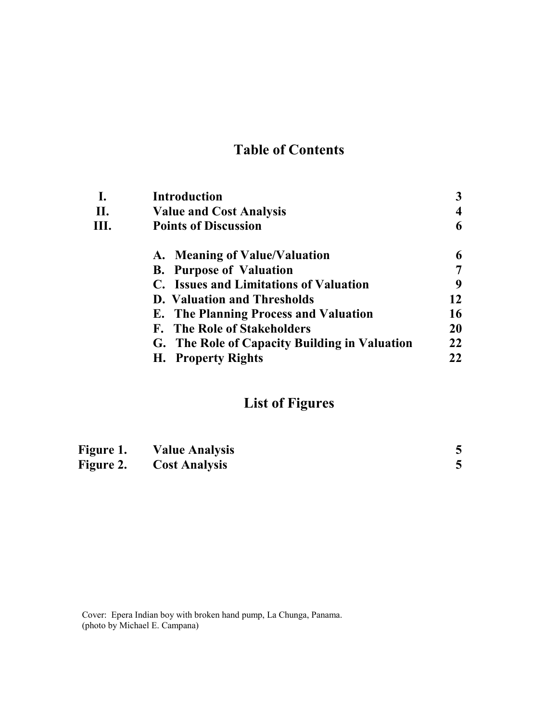## **Table of Contents**

|     | <b>Introduction</b>                           |    |
|-----|-----------------------------------------------|----|
| II. | <b>Value and Cost Analysis</b>                |    |
| Ш.  | <b>Points of Discussion</b>                   |    |
|     | A. Meaning of Value/Valuation                 | 6  |
|     | <b>B.</b> Purpose of Valuation                |    |
|     | C. Issues and Limitations of Valuation        | q  |
|     | <b>D.</b> Valuation and Thresholds            | 12 |
|     | <b>E.</b> The Planning Process and Valuation  | 16 |
|     | F. The Role of Stakeholders                   | 20 |
|     | G. The Role of Capacity Building in Valuation | 22 |
|     | H. Property Rights                            | 22 |
|     |                                               |    |

## **List of Figures**

| Figure 1.        | <b>Value Analysis</b> |  |
|------------------|-----------------------|--|
| <b>Figure 2.</b> | <b>Cost Analysis</b>  |  |

Cover: Epera Indian boy with broken hand pump, La Chunga, Panama. (photo by Michael E. Campana)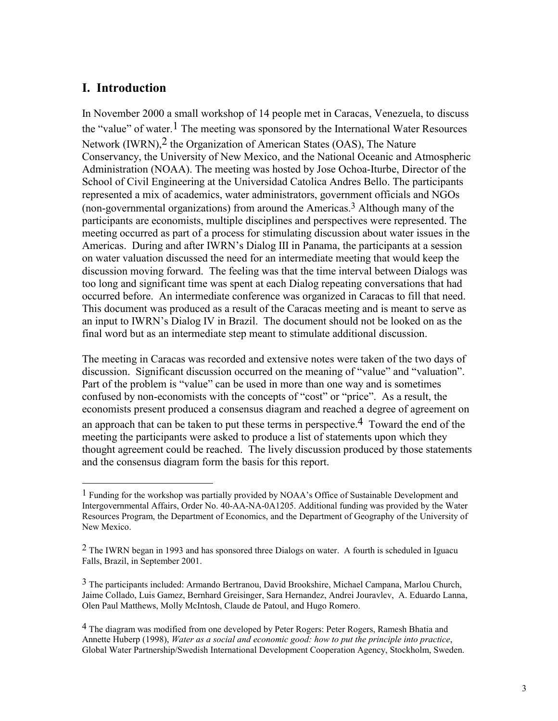## **I. Introduction**

 $\overline{a}$ 

In November 2000 a small workshop of 14 people met in Caracas, Venezuela, to discuss the "value" of water.<sup>1</sup> The meeting was sponsored by the International Water Resources Network (IWRN),<sup>2</sup> the Organization of American States (OAS), The Nature Conservancy, the University of New Mexico, and the National Oceanic and Atmospheric Administration (NOAA). The meeting was hosted by Jose Ochoa-Iturbe, Director of the School of Civil Engineering at the Universidad Catolica Andres Bello. The participants represented a mix of academics, water administrators, government officials and NGOs (non-governmental organizations) from around the Americas.3 Although many of the participants are economists, multiple disciplines and perspectives were represented. The meeting occurred as part of a process for stimulating discussion about water issues in the Americas. During and after IWRN's Dialog III in Panama, the participants at a session on water valuation discussed the need for an intermediate meeting that would keep the discussion moving forward. The feeling was that the time interval between Dialogs was too long and significant time was spent at each Dialog repeating conversations that had occurred before. An intermediate conference was organized in Caracas to fill that need. This document was produced as a result of the Caracas meeting and is meant to serve as an input to IWRN's Dialog IV in Brazil. The document should not be looked on as the final word but as an intermediate step meant to stimulate additional discussion.

The meeting in Caracas was recorded and extensive notes were taken of the two days of discussion. Significant discussion occurred on the meaning of "value" and "valuation". Part of the problem is "value" can be used in more than one way and is sometimes confused by non-economists with the concepts of "cost" or "price". As a result, the economists present produced a consensus diagram and reached a degree of agreement on

an approach that can be taken to put these terms in perspective.<sup>4</sup> Toward the end of the meeting the participants were asked to produce a list of statements upon which they thought agreement could be reached. The lively discussion produced by those statements and the consensus diagram form the basis for this report.

<sup>&</sup>lt;sup>1</sup> Funding for the workshop was partially provided by NOAA's Office of Sustainable Development and Intergovernmental Affairs, Order No. 40-AA-NA-0A1205. Additional funding was provided by the Water Resources Program, the Department of Economics, and the Department of Geography of the University of New Mexico.

 $2$  The IWRN began in 1993 and has sponsored three Dialogs on water. A fourth is scheduled in Iguacu Falls, Brazil, in September 2001.

<sup>3</sup> The participants included: Armando Bertranou, David Brookshire, Michael Campana, Marlou Church, Jaime Collado, Luis Gamez, Bernhard Greisinger, Sara Hernandez, Andrei Jouravlev, A. Eduardo Lanna, Olen Paul Matthews, Molly McIntosh, Claude de Patoul, and Hugo Romero.

<sup>&</sup>lt;sup>4</sup> The diagram was modified from one developed by Peter Rogers: Peter Rogers, Ramesh Bhatia and Annette Huberp (1998), *Water as a social and economic good: how to put the principle into practice*, Global Water Partnership/Swedish International Development Cooperation Agency, Stockholm, Sweden.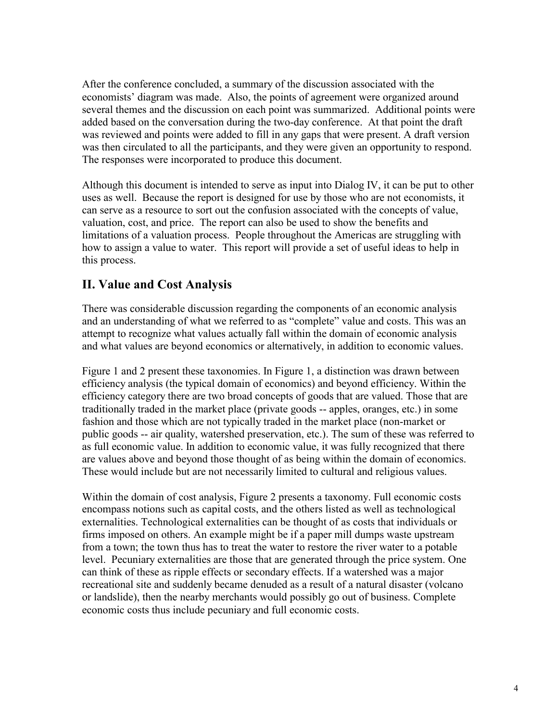After the conference concluded, a summary of the discussion associated with the economists' diagram was made. Also, the points of agreement were organized around several themes and the discussion on each point was summarized. Additional points were added based on the conversation during the two-day conference. At that point the draft was reviewed and points were added to fill in any gaps that were present. A draft version was then circulated to all the participants, and they were given an opportunity to respond. The responses were incorporated to produce this document.

Although this document is intended to serve as input into Dialog IV, it can be put to other uses as well. Because the report is designed for use by those who are not economists, it can serve as a resource to sort out the confusion associated with the concepts of value, valuation, cost, and price. The report can also be used to show the benefits and limitations of a valuation process. People throughout the Americas are struggling with how to assign a value to water. This report will provide a set of useful ideas to help in this process.

## **II. Value and Cost Analysis**

There was considerable discussion regarding the components of an economic analysis and an understanding of what we referred to as "complete" value and costs. This was an attempt to recognize what values actually fall within the domain of economic analysis and what values are beyond economics or alternatively, in addition to economic values.

Figure 1 and 2 present these taxonomies. In Figure 1, a distinction was drawn between efficiency analysis (the typical domain of economics) and beyond efficiency. Within the efficiency category there are two broad concepts of goods that are valued. Those that are traditionally traded in the market place (private goods -- apples, oranges, etc.) in some fashion and those which are not typically traded in the market place (non-market or public goods -- air quality, watershed preservation, etc.). The sum of these was referred to as full economic value. In addition to economic value, it was fully recognized that there are values above and beyond those thought of as being within the domain of economics. These would include but are not necessarily limited to cultural and religious values.

Within the domain of cost analysis, Figure 2 presents a taxonomy. Full economic costs encompass notions such as capital costs, and the others listed as well as technological externalities. Technological externalities can be thought of as costs that individuals or firms imposed on others. An example might be if a paper mill dumps waste upstream from a town; the town thus has to treat the water to restore the river water to a potable level. Pecuniary externalities are those that are generated through the price system. One can think of these as ripple effects or secondary effects. If a watershed was a major recreational site and suddenly became denuded as a result of a natural disaster (volcano or landslide), then the nearby merchants would possibly go out of business. Complete economic costs thus include pecuniary and full economic costs.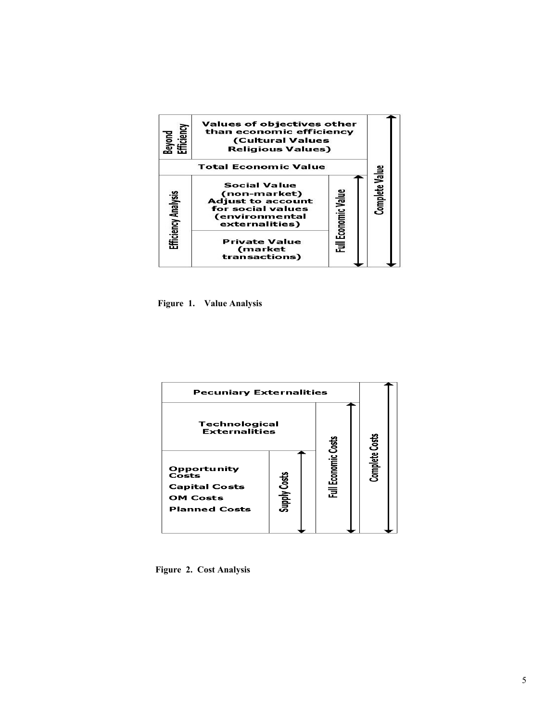| Efficiency<br>Beyond | Values of objectives other<br>than economic efficiency<br><b>(Cultural Values</b><br><b>Religious Values)</b>            |                     |                |
|----------------------|--------------------------------------------------------------------------------------------------------------------------|---------------------|----------------|
|                      | <b>Total Economic Value</b>                                                                                              |                     |                |
| Efficiency Analysis  | <b>Social Value</b><br>(non-market)<br><b>Adjust to account</b><br>for social values<br>(environmental<br>externalities) | Full Economic Value | Complete Value |
|                      | <b>Private Value</b><br>(market<br>transactions)                                                                         |                     |                |

 **Figure 1. Value Analysis** 



 **Figure 2. Cost Analysis**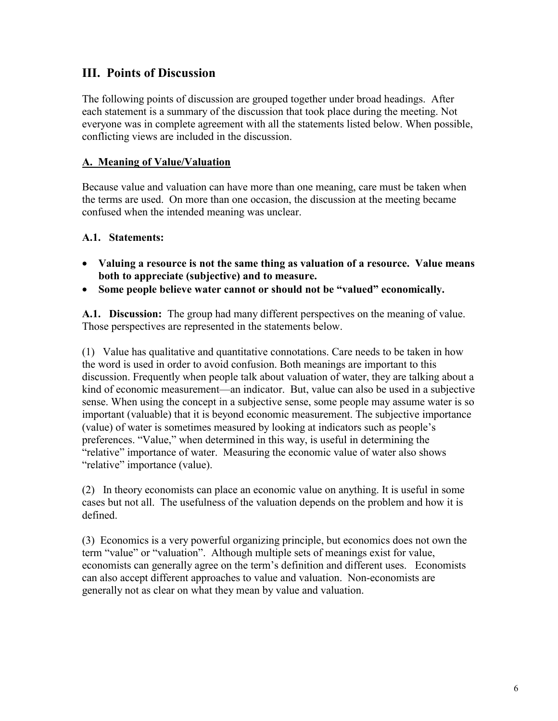## **III. Points of Discussion**

The following points of discussion are grouped together under broad headings. After each statement is a summary of the discussion that took place during the meeting. Not everyone was in complete agreement with all the statements listed below. When possible, conflicting views are included in the discussion.

#### **A. Meaning of Value/Valuation**

Because value and valuation can have more than one meaning, care must be taken when the terms are used. On more than one occasion, the discussion at the meeting became confused when the intended meaning was unclear.

#### **A.1. Statements:**

- **Valuing a resource is not the same thing as valuation of a resource. Value means both to appreciate (subjective) and to measure.**
- **Some people believe water cannot or should not be "valued" economically.**

**A.1. Discussion:** The group had many different perspectives on the meaning of value. Those perspectives are represented in the statements below.

(1)Value has qualitative and quantitative connotations. Care needs to be taken in how the word is used in order to avoid confusion. Both meanings are important to this discussion. Frequently when people talk about valuation of water, they are talking about a kind of economic measurement—an indicator. But, value can also be used in a subjective sense. When using the concept in a subjective sense, some people may assume water is so important (valuable) that it is beyond economic measurement. The subjective importance (value) of water is sometimes measured by looking at indicators such as people's preferences. "Value," when determined in this way, is useful in determining the "relative" importance of water. Measuring the economic value of water also shows "relative" importance (value).

(2) In theory economists can place an economic value on anything. It is useful in some cases but not all. The usefulness of the valuation depends on the problem and how it is defined.

(3) Economics is a very powerful organizing principle, but economics does not own the term "value" or "valuation". Although multiple sets of meanings exist for value, economists can generally agree on the term's definition and different uses. Economists can also accept different approaches to value and valuation. Non-economists are generally not as clear on what they mean by value and valuation.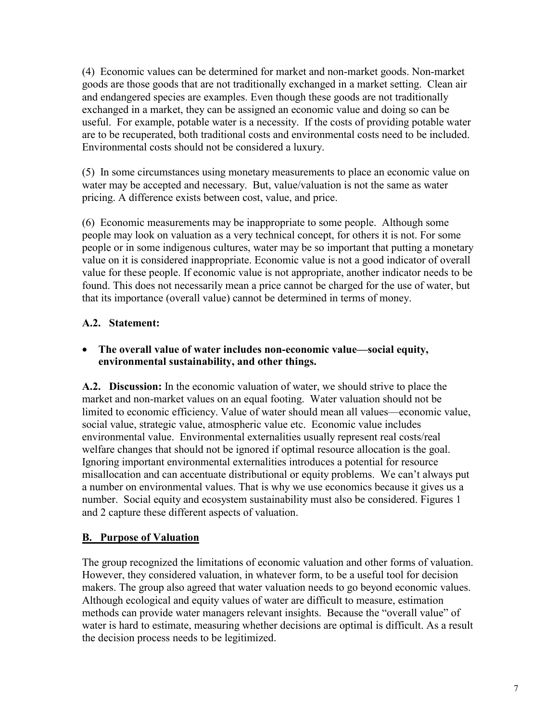(4) Economic values can be determined for market and non-market goods. Non-market goods are those goods that are not traditionally exchanged in a market setting. Clean air and endangered species are examples. Even though these goods are not traditionally exchanged in a market, they can be assigned an economic value and doing so can be useful. For example, potable water is a necessity. If the costs of providing potable water are to be recuperated, both traditional costs and environmental costs need to be included. Environmental costs should not be considered a luxury.

(5) In some circumstances using monetary measurements to place an economic value on water may be accepted and necessary. But, value/valuation is not the same as water pricing. A difference exists between cost, value, and price.

(6) Economic measurements may be inappropriate to some people. Although some people may look on valuation as a very technical concept, for others it is not. For some people or in some indigenous cultures, water may be so important that putting a monetary value on it is considered inappropriate. Economic value is not a good indicator of overall value for these people. If economic value is not appropriate, another indicator needs to be found. This does not necessarily mean a price cannot be charged for the use of water, but that its importance (overall value) cannot be determined in terms of money.

## **A.2. Statement:**

#### • **The overall value of water includes non-economic value—social equity, environmental sustainability, and other things.**

**A.2. Discussion:** In the economic valuation of water, we should strive to place the market and non-market values on an equal footing. Water valuation should not be limited to economic efficiency. Value of water should mean all values—economic value, social value, strategic value, atmospheric value etc. Economic value includes environmental value. Environmental externalities usually represent real costs/real welfare changes that should not be ignored if optimal resource allocation is the goal. Ignoring important environmental externalities introduces a potential for resource misallocation and can accentuate distributional or equity problems. We can't always put a number on environmental values. That is why we use economics because it gives us a number. Social equity and ecosystem sustainability must also be considered. Figures 1 and 2 capture these different aspects of valuation.

#### **B. Purpose of Valuation**

The group recognized the limitations of economic valuation and other forms of valuation. However, they considered valuation, in whatever form, to be a useful tool for decision makers. The group also agreed that water valuation needs to go beyond economic values. Although ecological and equity values of water are difficult to measure, estimation methods can provide water managers relevant insights. Because the "overall value" of water is hard to estimate, measuring whether decisions are optimal is difficult. As a result the decision process needs to be legitimized.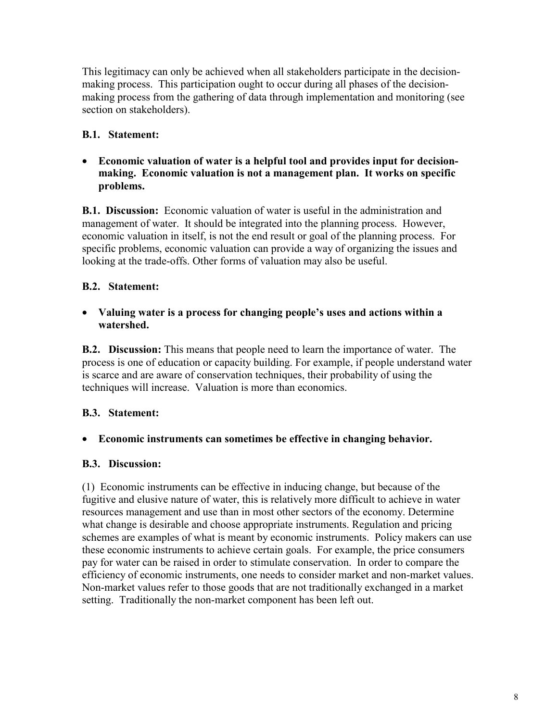This legitimacy can only be achieved when all stakeholders participate in the decisionmaking process. This participation ought to occur during all phases of the decisionmaking process from the gathering of data through implementation and monitoring (see section on stakeholders).

## **B.1. Statement:**

• **Economic valuation of water is a helpful tool and provides input for decisionmaking. Economic valuation is not a management plan. It works on specific problems.**

**B.1. Discussion:** Economic valuation of water is useful in the administration and management of water. It should be integrated into the planning process. However, economic valuation in itself, is not the end result or goal of the planning process. For specific problems, economic valuation can provide a way of organizing the issues and looking at the trade-offs. Other forms of valuation may also be useful.

## **B.2. Statement:**

#### • **Valuing water is a process for changing people's uses and actions within a watershed.**

**B.2. Discussion:** This means that people need to learn the importance of water. The process is one of education or capacity building. For example, if people understand water is scarce and are aware of conservation techniques, their probability of using the techniques will increase. Valuation is more than economics.

#### **B.3. Statement:**

#### • **Economic instruments can sometimes be effective in changing behavior.**

#### **B.3. Discussion:**

(1) Economic instruments can be effective in inducing change, but because of the fugitive and elusive nature of water, this is relatively more difficult to achieve in water resources management and use than in most other sectors of the economy. Determine what change is desirable and choose appropriate instruments. Regulation and pricing schemes are examples of what is meant by economic instruments. Policy makers can use these economic instruments to achieve certain goals. For example, the price consumers pay for water can be raised in order to stimulate conservation. In order to compare the efficiency of economic instruments, one needs to consider market and non-market values. Non-market values refer to those goods that are not traditionally exchanged in a market setting. Traditionally the non-market component has been left out.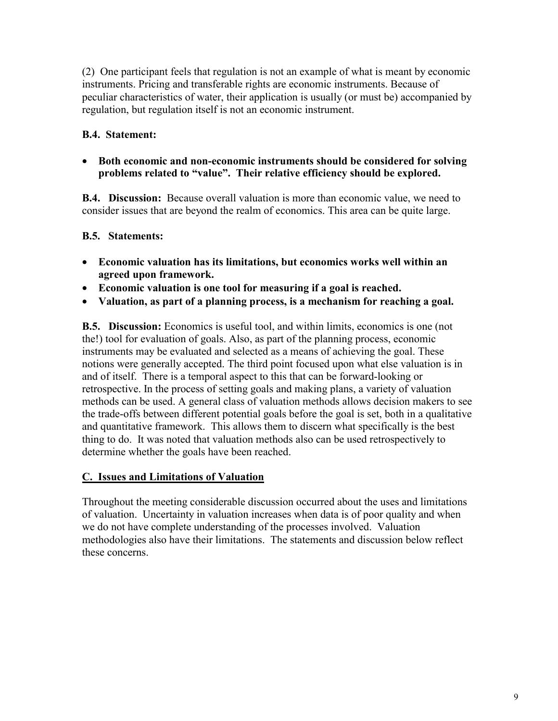(2) One participant feels that regulation is not an example of what is meant by economic instruments. Pricing and transferable rights are economic instruments. Because of peculiar characteristics of water, their application is usually (or must be) accompanied by regulation, but regulation itself is not an economic instrument.

## **B.4. Statement:**

• **Both economic and non-economic instruments should be considered for solving problems related to "value". Their relative efficiency should be explored.**

**B.4. Discussion:** Because overall valuation is more than economic value, we need to consider issues that are beyond the realm of economics. This area can be quite large.

## **B.5. Statements:**

- **Economic valuation has its limitations, but economics works well within an agreed upon framework.**
- **Economic valuation is one tool for measuring if a goal is reached.**
- **Valuation, as part of a planning process, is a mechanism for reaching a goal.**

**B.5. Discussion:** Economics is useful tool, and within limits, economics is one (not the!) tool for evaluation of goals. Also, as part of the planning process, economic instruments may be evaluated and selected as a means of achieving the goal. These notions were generally accepted. The third point focused upon what else valuation is in and of itself. There is a temporal aspect to this that can be forward-looking or retrospective. In the process of setting goals and making plans, a variety of valuation methods can be used. A general class of valuation methods allows decision makers to see the trade-offs between different potential goals before the goal is set, both in a qualitative and quantitative framework. This allows them to discern what specifically is the best thing to do. It was noted that valuation methods also can be used retrospectively to determine whether the goals have been reached.

## **C. Issues and Limitations of Valuation**

Throughout the meeting considerable discussion occurred about the uses and limitations of valuation. Uncertainty in valuation increases when data is of poor quality and when we do not have complete understanding of the processes involved. Valuation methodologies also have their limitations. The statements and discussion below reflect these concerns.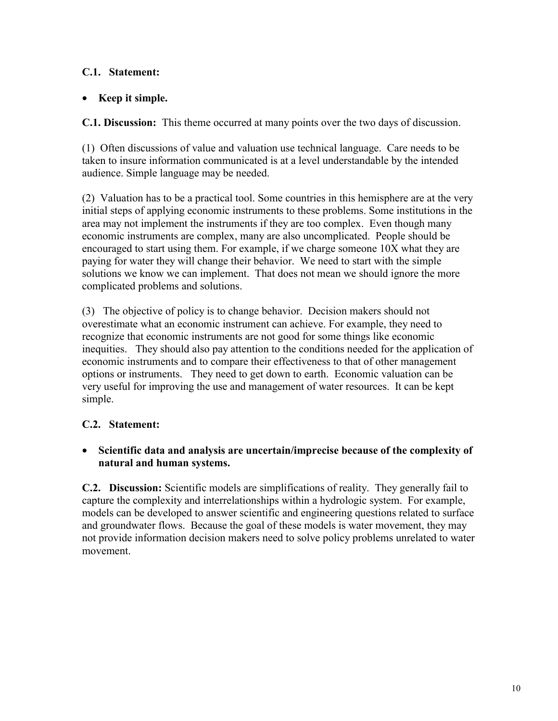## **C.1. Statement:**

#### • **Keep it simple.**

**C.1. Discussion:** This theme occurred at many points over the two days of discussion.

(1) Often discussions of value and valuation use technical language. Care needs to be taken to insure information communicated is at a level understandable by the intended audience. Simple language may be needed.

(2) Valuation has to be a practical tool. Some countries in this hemisphere are at the very initial steps of applying economic instruments to these problems. Some institutions in the area may not implement the instruments if they are too complex. Even though many economic instruments are complex, many are also uncomplicated. People should be encouraged to start using them. For example, if we charge someone 10X what they are paying for water they will change their behavior. We need to start with the simple solutions we know we can implement. That does not mean we should ignore the more complicated problems and solutions.

(3) The objective of policy is to change behavior. Decision makers should not overestimate what an economic instrument can achieve. For example, they need to recognize that economic instruments are not good for some things like economic inequities. They should also pay attention to the conditions needed for the application of economic instruments and to compare their effectiveness to that of other management options or instruments. They need to get down to earth. Economic valuation can be very useful for improving the use and management of water resources. It can be kept simple.

#### **C.2. Statement:**

• **Scientific data and analysis are uncertain/imprecise because of the complexity of natural and human systems.**

**C.2. Discussion:** Scientific models are simplifications of reality. They generally fail to capture the complexity and interrelationships within a hydrologic system. For example, models can be developed to answer scientific and engineering questions related to surface and groundwater flows. Because the goal of these models is water movement, they may not provide information decision makers need to solve policy problems unrelated to water movement.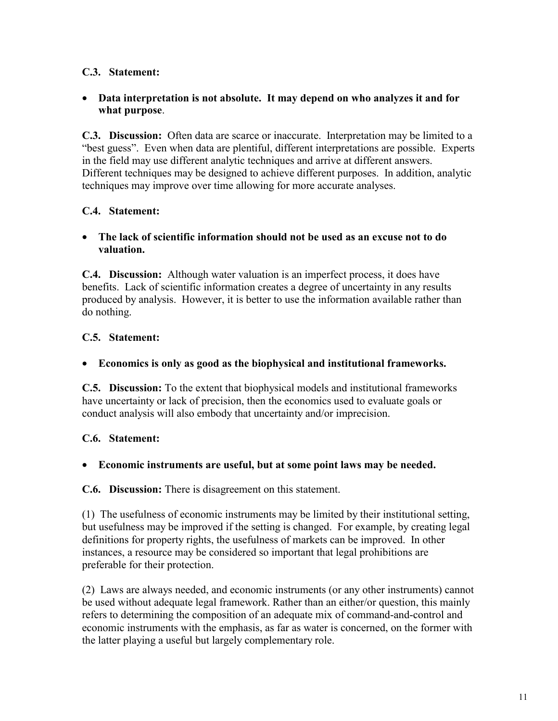## **C.3. Statement:**

#### • **Data interpretation is not absolute. It may depend on who analyzes it and for what purpose**.

**C.3. Discussion:** Often data are scarce or inaccurate. Interpretation may be limited to a "best guess". Even when data are plentiful, different interpretations are possible. Experts in the field may use different analytic techniques and arrive at different answers. Different techniques may be designed to achieve different purposes. In addition, analytic techniques may improve over time allowing for more accurate analyses.

#### **C.4. Statement:**

#### • **The lack of scientific information should not be used as an excuse not to do valuation.**

**C.4. Discussion:** Although water valuation is an imperfect process, it does have benefits. Lack of scientific information creates a degree of uncertainty in any results produced by analysis. However, it is better to use the information available rather than do nothing.

#### **C.5. Statement:**

#### • **Economics is only as good as the biophysical and institutional frameworks.**

**C.5. Discussion:** To the extent that biophysical models and institutional frameworks have uncertainty or lack of precision, then the economics used to evaluate goals or conduct analysis will also embody that uncertainty and/or imprecision.

## **C.6. Statement:**

#### • **Economic instruments are useful, but at some point laws may be needed.**

**C.6. Discussion:** There is disagreement on this statement.

(1) The usefulness of economic instruments may be limited by their institutional setting, but usefulness may be improved if the setting is changed. For example, by creating legal definitions for property rights, the usefulness of markets can be improved. In other instances, a resource may be considered so important that legal prohibitions are preferable for their protection.

(2) Laws are always needed, and economic instruments (or any other instruments) cannot be used without adequate legal framework. Rather than an either/or question, this mainly refers to determining the composition of an adequate mix of command-and-control and economic instruments with the emphasis, as far as water is concerned, on the former with the latter playing a useful but largely complementary role.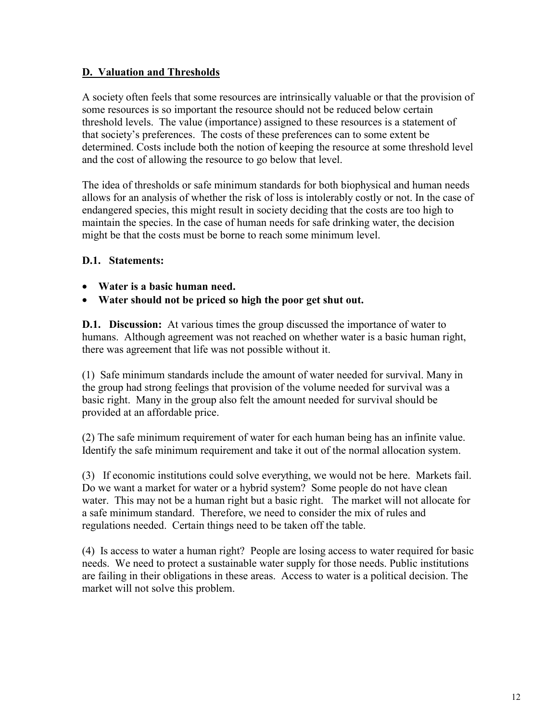#### **D. Valuation and Thresholds**

A society often feels that some resources are intrinsically valuable or that the provision of some resources is so important the resource should not be reduced below certain threshold levels. The value (importance) assigned to these resources is a statement of that society's preferences. The costs of these preferences can to some extent be determined. Costs include both the notion of keeping the resource at some threshold level and the cost of allowing the resource to go below that level.

The idea of thresholds or safe minimum standards for both biophysical and human needs allows for an analysis of whether the risk of loss is intolerably costly or not. In the case of endangered species, this might result in society deciding that the costs are too high to maintain the species. In the case of human needs for safe drinking water, the decision might be that the costs must be borne to reach some minimum level.

#### **D.1. Statements:**

- **Water is a basic human need.**
- **Water should not be priced so high the poor get shut out.**

**D.1. Discussion:** At various times the group discussed the importance of water to humans. Although agreement was not reached on whether water is a basic human right, there was agreement that life was not possible without it.

(1) Safe minimum standards include the amount of water needed for survival. Many in the group had strong feelings that provision of the volume needed for survival was a basic right. Many in the group also felt the amount needed for survival should be provided at an affordable price.

(2) The safe minimum requirement of water for each human being has an infinite value. Identify the safe minimum requirement and take it out of the normal allocation system.

(3) If economic institutions could solve everything, we would not be here. Markets fail. Do we want a market for water or a hybrid system? Some people do not have clean water. This may not be a human right but a basic right. The market will not allocate for a safe minimum standard. Therefore, we need to consider the mix of rules and regulations needed. Certain things need to be taken off the table.

(4) Is access to water a human right? People are losing access to water required for basic needs. We need to protect a sustainable water supply for those needs. Public institutions are failing in their obligations in these areas. Access to water is a political decision. The market will not solve this problem.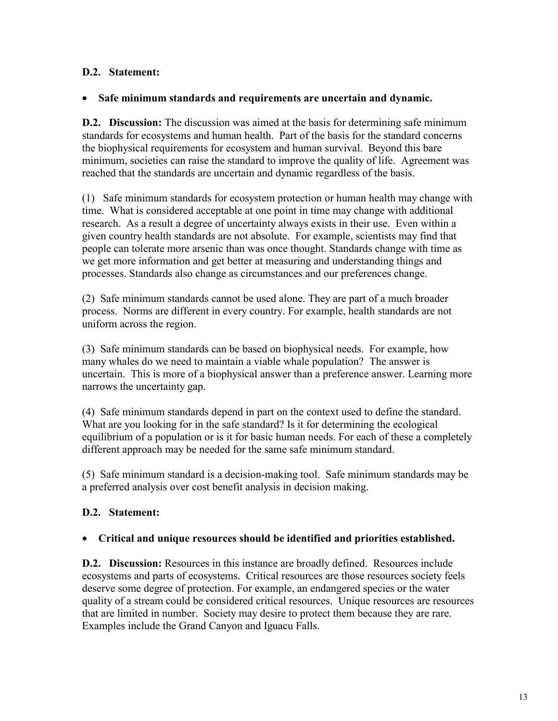### **D.2. Statement:**

#### • **Safe minimum standards and requirements are uncertain and dynamic.**

**D.2. Discussion:** The discussion was aimed at the basis for determining safe minimum standards for ecosystems and human health. Part of the basis for the standard concerns the biophysical requirements for ecosystem and human survival. Beyond this bare minimum, societies can raise the standard to improve the quality of life. Agreement was reached that the standards are uncertain and dynamic regardless of the basis.

(1) Safe minimum standards for ecosystem protection or human health may change with time. What is considered acceptable at one point in time may change with additional research. As a result a degree of uncertainty always exists in their use. Even within a given country health standards are not absolute. For example, scientists may find that people can tolerate more arsenic than was once thought. Standards change with time as we get more information and get better at measuring and understanding things and processes. Standards also change as circumstances and our preferences change.

(2) Safe minimum standards cannot be used alone. They are part of a much broader process. Norms are different in every country. For example, health standards are not uniform across the region.

(3) Safe minimum standards can be based on biophysical needs. For example, how many whales do we need to maintain a viable whale population? The answer is uncertain. This is more of a biophysical answer than a preference answer. Learning more narrows the uncertainty gap.

(4) Safe minimum standards depend in part on the context used to define the standard. What are you looking for in the safe standard? Is it for determining the ecological equilibrium of a population or is it for basic human needs. For each of these a completely different approach may be needed for the same safe minimum standard.

(5) Safe minimum standard is a decision-making tool. Safe minimum standards may be a preferred analysis over cost benefit analysis in decision making.

#### **D.2. Statement:**

#### • **Critical and unique resources should be identified and priorities established.**

**D.2. Discussion:** Resources in this instance are broadly defined. Resources include ecosystems and parts of ecosystems. Critical resources are those resources society feels deserve some degree of protection. For example, an endangered species or the water quality of a stream could be considered critical resources. Unique resources are resources that are limited in number. Society may desire to protect them because they are rare. Examples include the Grand Canyon and Iguacu Falls.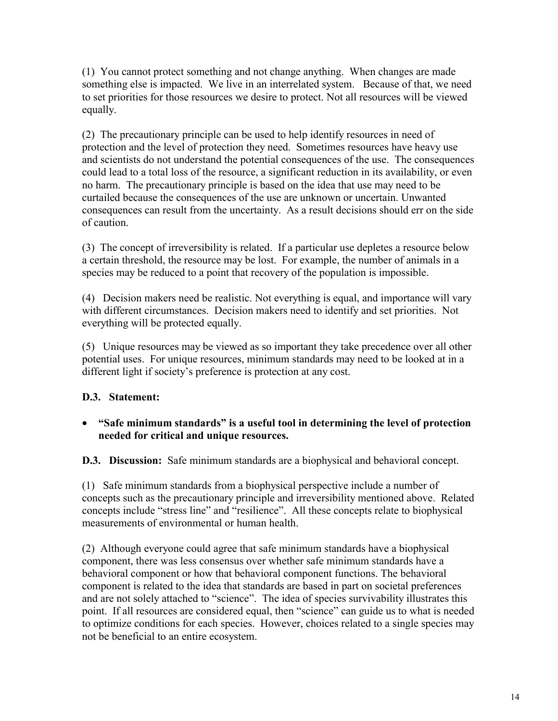(1) You cannot protect something and not change anything. When changes are made something else is impacted. We live in an interrelated system. Because of that, we need to set priorities for those resources we desire to protect. Not all resources will be viewed equally.

(2) The precautionary principle can be used to help identify resources in need of protection and the level of protection they need. Sometimes resources have heavy use and scientists do not understand the potential consequences of the use. The consequences could lead to a total loss of the resource, a significant reduction in its availability, or even no harm. The precautionary principle is based on the idea that use may need to be curtailed because the consequences of the use are unknown or uncertain. Unwanted consequences can result from the uncertainty. As a result decisions should err on the side of caution.

(3) The concept of irreversibility is related. If a particular use depletes a resource below a certain threshold, the resource may be lost. For example, the number of animals in a species may be reduced to a point that recovery of the population is impossible.

(4) Decision makers need be realistic. Not everything is equal, and importance will vary with different circumstances. Decision makers need to identify and set priorities. Not everything will be protected equally.

(5)Unique resources may be viewed as so important they take precedence over all other potential uses. For unique resources, minimum standards may need to be looked at in a different light if society's preference is protection at any cost.

## **D.3. Statement:**

#### • **"Safe minimum standards" is a useful tool in determining the level of protection needed for critical and unique resources.**

**D.3. Discussion:** Safe minimum standards are a biophysical and behavioral concept.

(1) Safe minimum standards from a biophysical perspective include a number of concepts such as the precautionary principle and irreversibility mentioned above. Related concepts include "stress line" and "resilience". All these concepts relate to biophysical measurements of environmental or human health.

(2) Although everyone could agree that safe minimum standards have a biophysical component, there was less consensus over whether safe minimum standards have a behavioral component or how that behavioral component functions. The behavioral component is related to the idea that standards are based in part on societal preferences and are not solely attached to "science". The idea of species survivability illustrates this point. If all resources are considered equal, then "science" can guide us to what is needed to optimize conditions for each species. However, choices related to a single species may not be beneficial to an entire ecosystem.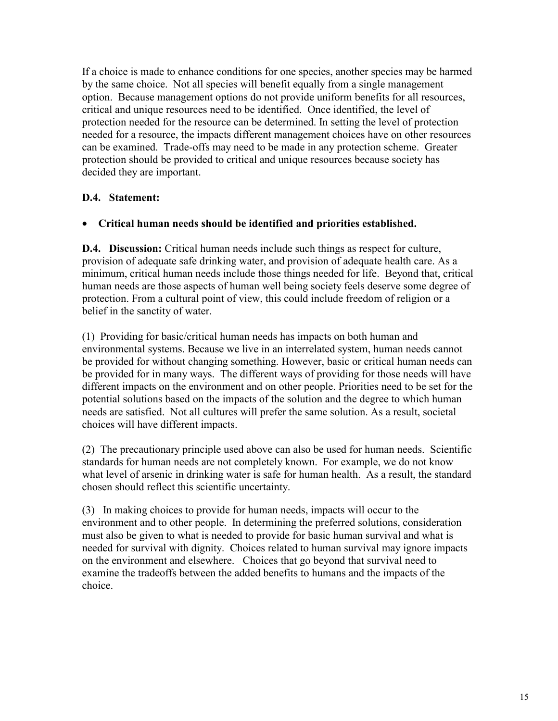If a choice is made to enhance conditions for one species, another species may be harmed by the same choice. Not all species will benefit equally from a single management option. Because management options do not provide uniform benefits for all resources, critical and unique resources need to be identified. Once identified, the level of protection needed for the resource can be determined. In setting the level of protection needed for a resource, the impacts different management choices have on other resources can be examined. Trade-offs may need to be made in any protection scheme. Greater protection should be provided to critical and unique resources because society has decided they are important.

#### **D.4. Statement:**

#### • **Critical human needs should be identified and priorities established.**

**D.4. Discussion:** Critical human needs include such things as respect for culture, provision of adequate safe drinking water, and provision of adequate health care. As a minimum, critical human needs include those things needed for life. Beyond that, critical human needs are those aspects of human well being society feels deserve some degree of protection. From a cultural point of view, this could include freedom of religion or a belief in the sanctity of water.

(1) Providing for basic/critical human needs has impacts on both human and environmental systems. Because we live in an interrelated system, human needs cannot be provided for without changing something. However, basic or critical human needs can be provided for in many ways. The different ways of providing for those needs will have different impacts on the environment and on other people. Priorities need to be set for the potential solutions based on the impacts of the solution and the degree to which human needs are satisfied. Not all cultures will prefer the same solution. As a result, societal choices will have different impacts.

(2) The precautionary principle used above can also be used for human needs. Scientific standards for human needs are not completely known. For example, we do not know what level of arsenic in drinking water is safe for human health. As a result, the standard chosen should reflect this scientific uncertainty.

(3) In making choices to provide for human needs, impacts will occur to the environment and to other people. In determining the preferred solutions, consideration must also be given to what is needed to provide for basic human survival and what is needed for survival with dignity. Choices related to human survival may ignore impacts on the environment and elsewhere. Choices that go beyond that survival need to examine the tradeoffs between the added benefits to humans and the impacts of the choice.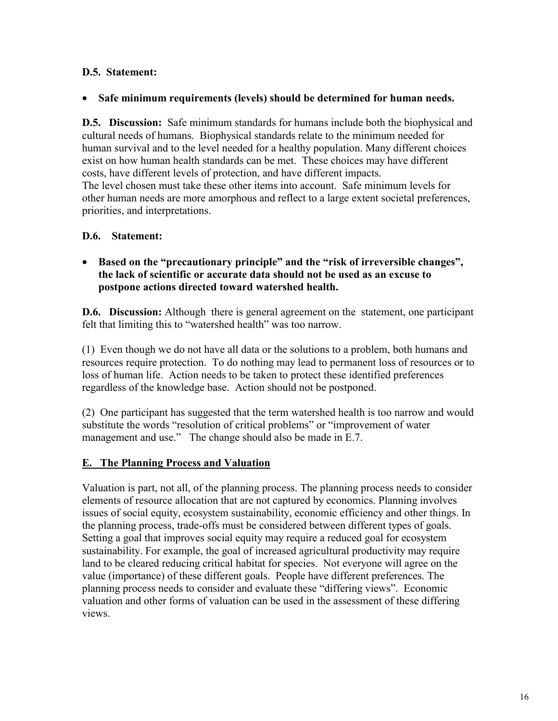### **D.5. Statement:**

#### • **Safe minimum requirements (levels) should be determined for human needs.**

**D.5. Discussion:** Safe minimum standards for humans include both the biophysical and cultural needs of humans. Biophysical standards relate to the minimum needed for human survival and to the level needed for a healthy population. Many different choices exist on how human health standards can be met. These choices may have different costs, have different levels of protection, and have different impacts. The level chosen must take these other items into account. Safe minimum levels for other human needs are more amorphous and reflect to a large extent societal preferences, priorities, and interpretations.

#### **D.6. Statement:**

• **Based on the "precautionary principle" and the "risk of irreversible changes", the lack of scientific or accurate data should not be used as an excuse to postpone actions directed toward watershed health.** 

**D.6. Discussion:** Although there is general agreement on the statement, one participant felt that limiting this to "watershed health" was too narrow.

(1) Even though we do not have all data or the solutions to a problem, both humans and resources require protection. To do nothing may lead to permanent loss of resources or to loss of human life. Action needs to be taken to protect these identified preferences regardless of the knowledge base. Action should not be postponed.

(2) One participant has suggested that the term watershed health is too narrow and would substitute the words "resolution of critical problems" or "improvement of water management and use." The change should also be made in E.7.

#### **E. The Planning Process and Valuation**

Valuation is part, not all, of the planning process. The planning process needs to consider elements of resource allocation that are not captured by economics. Planning involves issues of social equity, ecosystem sustainability, economic efficiency and other things. In the planning process, trade-offs must be considered between different types of goals. Setting a goal that improves social equity may require a reduced goal for ecosystem sustainability. For example, the goal of increased agricultural productivity may require land to be cleared reducing critical habitat for species. Not everyone will agree on the value (importance) of these different goals. People have different preferences. The planning process needs to consider and evaluate these "differing views". Economic valuation and other forms of valuation can be used in the assessment of these differing views.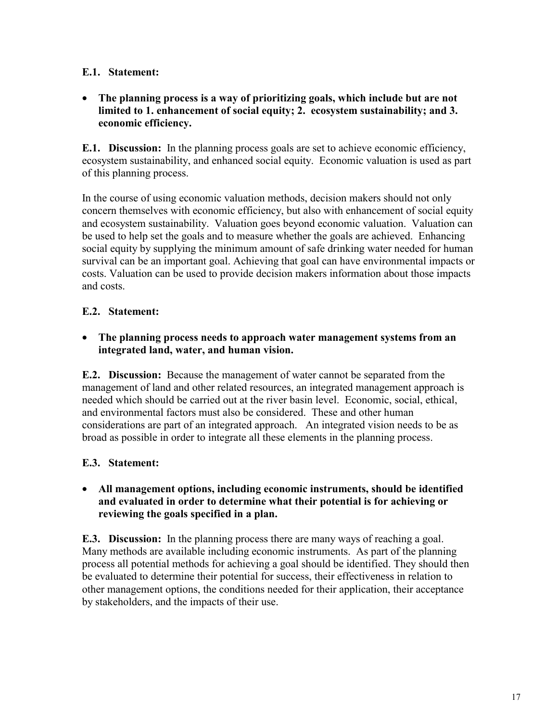#### **E.1. Statement:**

• **The planning process is a way of prioritizing goals, which include but are not limited to 1. enhancement of social equity; 2. ecosystem sustainability; and 3. economic efficiency.**

**E.1. Discussion:** In the planning process goals are set to achieve economic efficiency, ecosystem sustainability, and enhanced social equity. Economic valuation is used as part of this planning process.

In the course of using economic valuation methods, decision makers should not only concern themselves with economic efficiency, but also with enhancement of social equity and ecosystem sustainability. Valuation goes beyond economic valuation. Valuation can be used to help set the goals and to measure whether the goals are achieved. Enhancing social equity by supplying the minimum amount of safe drinking water needed for human survival can be an important goal. Achieving that goal can have environmental impacts or costs. Valuation can be used to provide decision makers information about those impacts and costs.

#### **E.2. Statement:**

• **The planning process needs to approach water management systems from an integrated land, water, and human vision.**

**E.2. Discussion:** Because the management of water cannot be separated from the management of land and other related resources, an integrated management approach is needed which should be carried out at the river basin level. Economic, social, ethical, and environmental factors must also be considered. These and other human considerations are part of an integrated approach. An integrated vision needs to be as broad as possible in order to integrate all these elements in the planning process.

## **E.3. Statement:**

#### • **All management options, including economic instruments, should be identified and evaluated in order to determine what their potential is for achieving or reviewing the goals specified in a plan.**

**E.3. Discussion:** In the planning process there are many ways of reaching a goal. Many methods are available including economic instruments. As part of the planning process all potential methods for achieving a goal should be identified. They should then be evaluated to determine their potential for success, their effectiveness in relation to other management options, the conditions needed for their application, their acceptance by stakeholders, and the impacts of their use.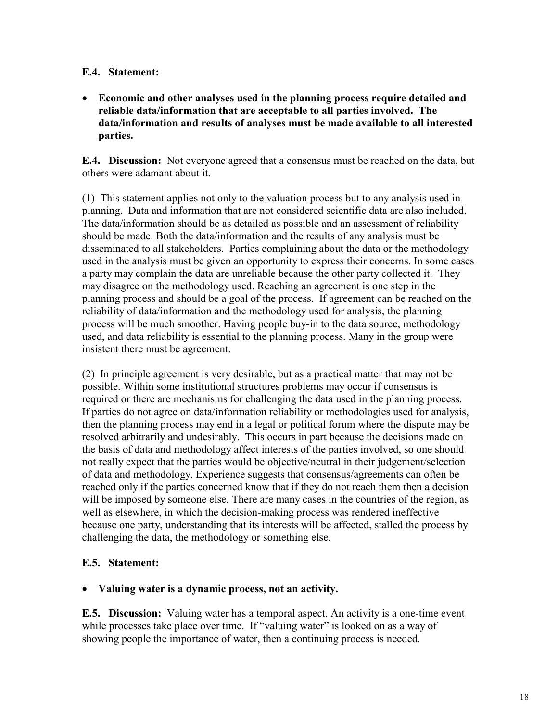#### **E.4. Statement:**

• **Economic and other analyses used in the planning process require detailed and reliable data/information that are acceptable to all parties involved. The data/information and results of analyses must be made available to all interested parties.** 

**E.4. Discussion:** Not everyone agreed that a consensus must be reached on the data, but others were adamant about it.

(1) This statement applies not only to the valuation process but to any analysis used in planning. Data and information that are not considered scientific data are also included. The data/information should be as detailed as possible and an assessment of reliability should be made. Both the data/information and the results of any analysis must be disseminated to all stakeholders. Parties complaining about the data or the methodology used in the analysis must be given an opportunity to express their concerns. In some cases a party may complain the data are unreliable because the other party collected it. They may disagree on the methodology used. Reaching an agreement is one step in the planning process and should be a goal of the process. If agreement can be reached on the reliability of data/information and the methodology used for analysis, the planning process will be much smoother. Having people buy-in to the data source, methodology used, and data reliability is essential to the planning process. Many in the group were insistent there must be agreement.

(2) In principle agreement is very desirable, but as a practical matter that may not be possible. Within some institutional structures problems may occur if consensus is required or there are mechanisms for challenging the data used in the planning process. If parties do not agree on data/information reliability or methodologies used for analysis, then the planning process may end in a legal or political forum where the dispute may be resolved arbitrarily and undesirably. This occurs in part because the decisions made on the basis of data and methodology affect interests of the parties involved, so one should not really expect that the parties would be objective/neutral in their judgement/selection of data and methodology. Experience suggests that consensus/agreements can often be reached only if the parties concerned know that if they do not reach them then a decision will be imposed by someone else. There are many cases in the countries of the region, as well as elsewhere, in which the decision-making process was rendered ineffective because one party, understanding that its interests will be affected, stalled the process by challenging the data, the methodology or something else.

#### **E.5. Statement:**

#### • **Valuing water is a dynamic process, not an activity.**

**E.5. Discussion:** Valuing water has a temporal aspect. An activity is a one-time event while processes take place over time. If "valuing water" is looked on as a way of showing people the importance of water, then a continuing process is needed.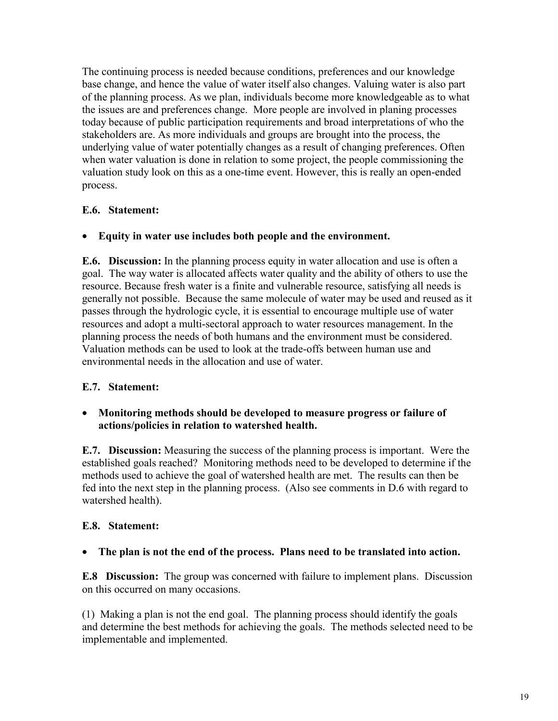The continuing process is needed because conditions, preferences and our knowledge base change, and hence the value of water itself also changes. Valuing water is also part of the planning process. As we plan, individuals become more knowledgeable as to what the issues are and preferences change. More people are involved in planing processes today because of public participation requirements and broad interpretations of who the stakeholders are. As more individuals and groups are brought into the process, the underlying value of water potentially changes as a result of changing preferences. Often when water valuation is done in relation to some project, the people commissioning the valuation study look on this as a one-time event. However, this is really an open-ended process.

#### **E.6. Statement:**

#### • **Equity in water use includes both people and the environment.**

**E.6. Discussion:** In the planning process equity in water allocation and use is often a goal. The way water is allocated affects water quality and the ability of others to use the resource. Because fresh water is a finite and vulnerable resource, satisfying all needs is generally not possible. Because the same molecule of water may be used and reused as it passes through the hydrologic cycle, it is essential to encourage multiple use of water resources and adopt a multi-sectoral approach to water resources management. In the planning process the needs of both humans and the environment must be considered. Valuation methods can be used to look at the trade-offs between human use and environmental needs in the allocation and use of water.

#### **E.7. Statement:**

#### • **Monitoring methods should be developed to measure progress or failure of actions/policies in relation to watershed health.**

**E.7. Discussion:** Measuring the success of the planning process is important. Were the established goals reached? Monitoring methods need to be developed to determine if the methods used to achieve the goal of watershed health are met. The results can then be fed into the next step in the planning process. (Also see comments in D.6 with regard to watershed health).

#### **E.8. Statement:**

#### • **The plan is not the end of the process. Plans need to be translated into action.**

**E.8 Discussion:** The group was concerned with failure to implement plans. Discussion on this occurred on many occasions.

(1) Making a plan is not the end goal. The planning process should identify the goals and determine the best methods for achieving the goals. The methods selected need to be implementable and implemented.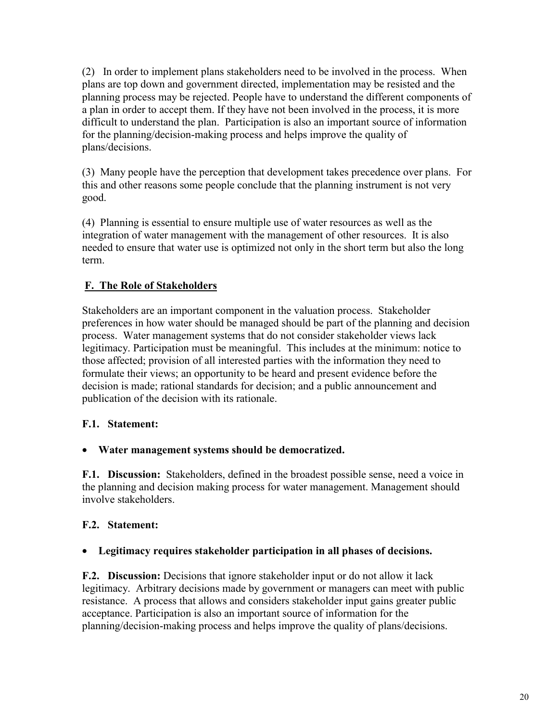(2) In order to implement plans stakeholders need to be involved in the process. When plans are top down and government directed, implementation may be resisted and the planning process may be rejected. People have to understand the different components of a plan in order to accept them. If they have not been involved in the process, it is more difficult to understand the plan. Participation is also an important source of information for the planning/decision-making process and helps improve the quality of plans/decisions.

(3) Many people have the perception that development takes precedence over plans. For this and other reasons some people conclude that the planning instrument is not very good.

(4) Planning is essential to ensure multiple use of water resources as well as the integration of water management with the management of other resources. It is also needed to ensure that water use is optimized not only in the short term but also the long term.

## **F. The Role of Stakeholders**

Stakeholders are an important component in the valuation process. Stakeholder preferences in how water should be managed should be part of the planning and decision process. Water management systems that do not consider stakeholder views lack legitimacy. Participation must be meaningful. This includes at the minimum: notice to those affected; provision of all interested parties with the information they need to formulate their views; an opportunity to be heard and present evidence before the decision is made; rational standards for decision; and a public announcement and publication of the decision with its rationale.

## **F.1. Statement:**

## • **Water management systems should be democratized.**

**F.1. Discussion:** Stakeholders, defined in the broadest possible sense, need a voice in the planning and decision making process for water management. Management should involve stakeholders.

## **F.2. Statement:**

## • **Legitimacy requires stakeholder participation in all phases of decisions.**

**F.2. Discussion:** Decisions that ignore stakeholder input or do not allow it lack legitimacy. Arbitrary decisions made by government or managers can meet with public resistance. A process that allows and considers stakeholder input gains greater public acceptance. Participation is also an important source of information for the planning/decision-making process and helps improve the quality of plans/decisions.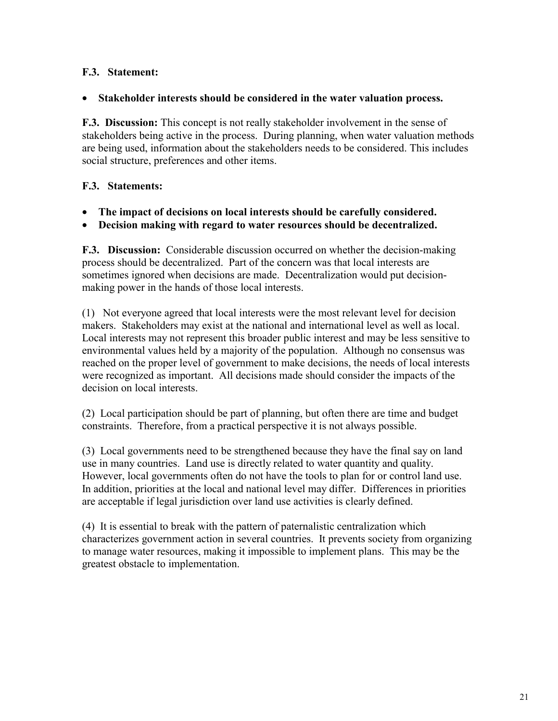### **F.3. Statement:**

#### • **Stakeholder interests should be considered in the water valuation process.**

**F.3. Discussion:** This concept is not really stakeholder involvement in the sense of stakeholders being active in the process. During planning, when water valuation methods are being used, information about the stakeholders needs to be considered. This includes social structure, preferences and other items.

#### **F.3. Statements:**

- **The impact of decisions on local interests should be carefully considered.**
- **Decision making with regard to water resources should be decentralized.**

**F.3. Discussion:** Considerable discussion occurred on whether the decision-making process should be decentralized. Part of the concern was that local interests are sometimes ignored when decisions are made. Decentralization would put decisionmaking power in the hands of those local interests.

(1) Not everyone agreed that local interests were the most relevant level for decision makers. Stakeholders may exist at the national and international level as well as local. Local interests may not represent this broader public interest and may be less sensitive to environmental values held by a majority of the population. Although no consensus was reached on the proper level of government to make decisions, the needs of local interests were recognized as important. All decisions made should consider the impacts of the decision on local interests.

(2) Local participation should be part of planning, but often there are time and budget constraints. Therefore, from a practical perspective it is not always possible.

(3) Local governments need to be strengthened because they have the final say on land use in many countries. Land use is directly related to water quantity and quality. However, local governments often do not have the tools to plan for or control land use. In addition, priorities at the local and national level may differ. Differences in priorities are acceptable if legal jurisdiction over land use activities is clearly defined.

(4) It is essential to break with the pattern of paternalistic centralization which characterizes government action in several countries. It prevents society from organizing to manage water resources, making it impossible to implement plans. This may be the greatest obstacle to implementation.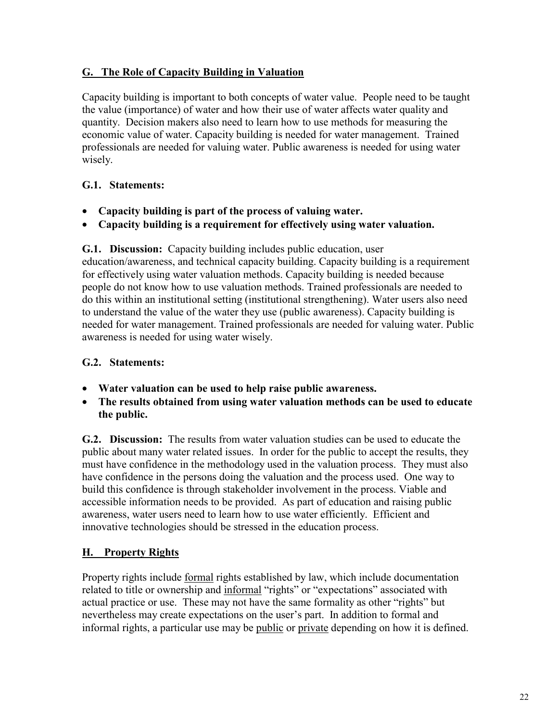#### **G. The Role of Capacity Building in Valuation**

Capacity building is important to both concepts of water value. People need to be taught the value (importance) of water and how their use of water affects water quality and quantity. Decision makers also need to learn how to use methods for measuring the economic value of water. Capacity building is needed for water management. Trained professionals are needed for valuing water. Public awareness is needed for using water wisely.

#### **G.1. Statements:**

- **Capacity building is part of the process of valuing water.**
- **Capacity building is a requirement for effectively using water valuation.**

**G.1. Discussion:** Capacity building includes public education, user education/awareness, and technical capacity building. Capacity building is a requirement for effectively using water valuation methods. Capacity building is needed because people do not know how to use valuation methods. Trained professionals are needed to do this within an institutional setting (institutional strengthening). Water users also need to understand the value of the water they use (public awareness). Capacity building is needed for water management. Trained professionals are needed for valuing water. Public awareness is needed for using water wisely.

## **G.2. Statements:**

- **Water valuation can be used to help raise public awareness.**
- **The results obtained from using water valuation methods can be used to educate the public.**

**G.2. Discussion:** The results from water valuation studies can be used to educate the public about many water related issues. In order for the public to accept the results, they must have confidence in the methodology used in the valuation process. They must also have confidence in the persons doing the valuation and the process used. One way to build this confidence is through stakeholder involvement in the process. Viable and accessible information needs to be provided. As part of education and raising public awareness, water users need to learn how to use water efficiently. Efficient and innovative technologies should be stressed in the education process.

## **H. Property Rights**

Property rights include formal rights established by law, which include documentation related to title or ownership and informal "rights" or "expectations" associated with actual practice or use. These may not have the same formality as other "rights" but nevertheless may create expectations on the user's part. In addition to formal and informal rights, a particular use may be public or private depending on how it is defined.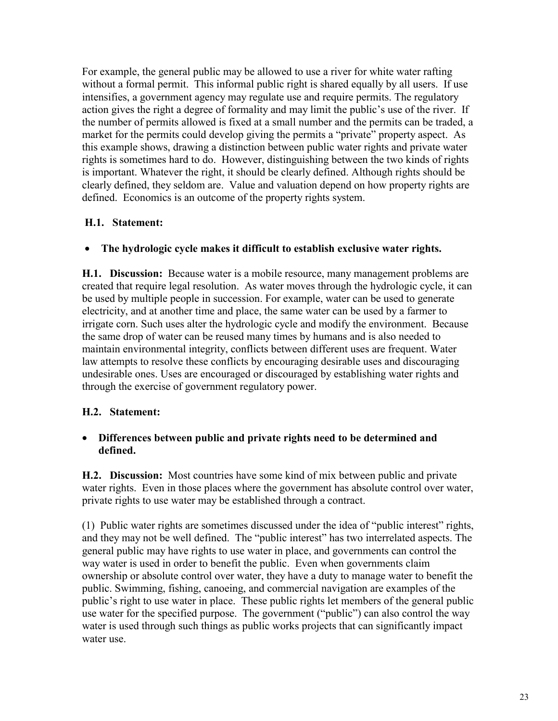For example, the general public may be allowed to use a river for white water rafting without a formal permit. This informal public right is shared equally by all users. If use intensifies, a government agency may regulate use and require permits. The regulatory action gives the right a degree of formality and may limit the public's use of the river. If the number of permits allowed is fixed at a small number and the permits can be traded, a market for the permits could develop giving the permits a "private" property aspect. As this example shows, drawing a distinction between public water rights and private water rights is sometimes hard to do. However, distinguishing between the two kinds of rights is important. Whatever the right, it should be clearly defined. Although rights should be clearly defined, they seldom are. Value and valuation depend on how property rights are defined. Economics is an outcome of the property rights system.

#### **H.1. Statement:**

#### • **The hydrologic cycle makes it difficult to establish exclusive water rights.**

**H.1. Discussion:** Because water is a mobile resource, many management problems are created that require legal resolution. As water moves through the hydrologic cycle, it can be used by multiple people in succession. For example, water can be used to generate electricity, and at another time and place, the same water can be used by a farmer to irrigate corn. Such uses alter the hydrologic cycle and modify the environment. Because the same drop of water can be reused many times by humans and is also needed to maintain environmental integrity, conflicts between different uses are frequent. Water law attempts to resolve these conflicts by encouraging desirable uses and discouraging undesirable ones. Uses are encouraged or discouraged by establishing water rights and through the exercise of government regulatory power.

#### **H.2. Statement:**

#### • **Differences between public and private rights need to be determined and defined.**

**H.2. Discussion:** Most countries have some kind of mix between public and private water rights. Even in those places where the government has absolute control over water, private rights to use water may be established through a contract.

(1) Public water rights are sometimes discussed under the idea of "public interest" rights, and they may not be well defined. The "public interest" has two interrelated aspects. The general public may have rights to use water in place, and governments can control the way water is used in order to benefit the public. Even when governments claim ownership or absolute control over water, they have a duty to manage water to benefit the public. Swimming, fishing, canoeing, and commercial navigation are examples of the public's right to use water in place. These public rights let members of the general public use water for the specified purpose. The government ("public") can also control the way water is used through such things as public works projects that can significantly impact water use.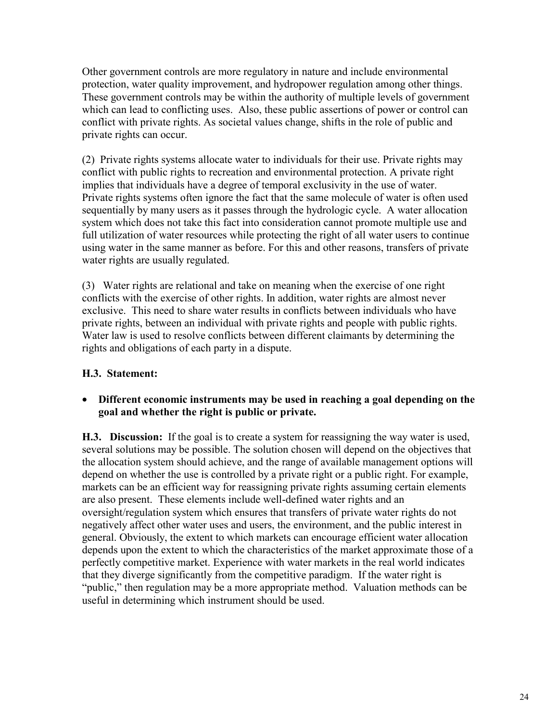Other government controls are more regulatory in nature and include environmental protection, water quality improvement, and hydropower regulation among other things. These government controls may be within the authority of multiple levels of government which can lead to conflicting uses. Also, these public assertions of power or control can conflict with private rights. As societal values change, shifts in the role of public and private rights can occur.

(2) Private rights systems allocate water to individuals for their use. Private rights may conflict with public rights to recreation and environmental protection. A private right implies that individuals have a degree of temporal exclusivity in the use of water. Private rights systems often ignore the fact that the same molecule of water is often used sequentially by many users as it passes through the hydrologic cycle. A water allocation system which does not take this fact into consideration cannot promote multiple use and full utilization of water resources while protecting the right of all water users to continue using water in the same manner as before. For this and other reasons, transfers of private water rights are usually regulated.

(3) Water rights are relational and take on meaning when the exercise of one right conflicts with the exercise of other rights. In addition, water rights are almost never exclusive. This need to share water results in conflicts between individuals who have private rights, between an individual with private rights and people with public rights. Water law is used to resolve conflicts between different claimants by determining the rights and obligations of each party in a dispute.

## **H.3. Statement:**

#### • **Different economic instruments may be used in reaching a goal depending on the goal and whether the right is public or private.**

**H.3. Discussion:** If the goal is to create a system for reassigning the way water is used, several solutions may be possible. The solution chosen will depend on the objectives that the allocation system should achieve, and the range of available management options will depend on whether the use is controlled by a private right or a public right. For example, markets can be an efficient way for reassigning private rights assuming certain elements are also present. These elements include well-defined water rights and an oversight/regulation system which ensures that transfers of private water rights do not negatively affect other water uses and users, the environment, and the public interest in general. Obviously, the extent to which markets can encourage efficient water allocation depends upon the extent to which the characteristics of the market approximate those of a perfectly competitive market. Experience with water markets in the real world indicates that they diverge significantly from the competitive paradigm. If the water right is "public," then regulation may be a more appropriate method. Valuation methods can be useful in determining which instrument should be used.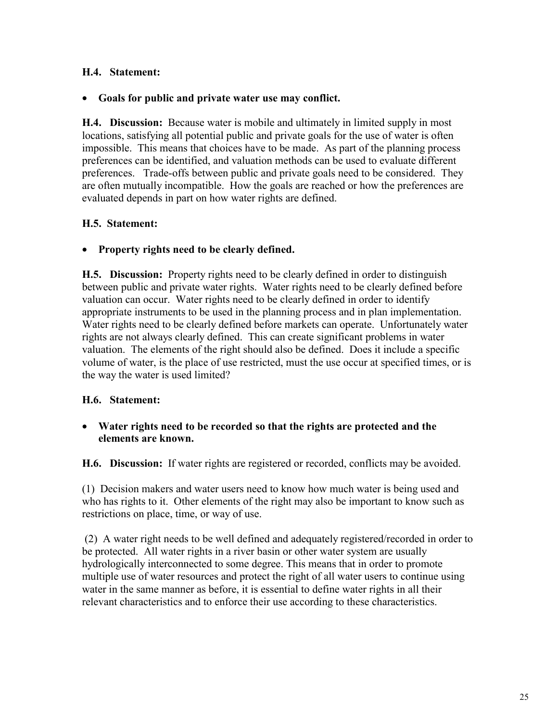#### **H.4. Statement:**

#### • **Goals for public and private water use may conflict.**

**H.4. Discussion:** Because water is mobile and ultimately in limited supply in most locations, satisfying all potential public and private goals for the use of water is often impossible. This means that choices have to be made. As part of the planning process preferences can be identified, and valuation methods can be used to evaluate different preferences. Trade-offs between public and private goals need to be considered. They are often mutually incompatible. How the goals are reached or how the preferences are evaluated depends in part on how water rights are defined.

#### **H.5. Statement:**

#### • **Property rights need to be clearly defined.**

**H.5. Discussion:** Property rights need to be clearly defined in order to distinguish between public and private water rights. Water rights need to be clearly defined before valuation can occur. Water rights need to be clearly defined in order to identify appropriate instruments to be used in the planning process and in plan implementation. Water rights need to be clearly defined before markets can operate. Unfortunately water rights are not always clearly defined. This can create significant problems in water valuation. The elements of the right should also be defined. Does it include a specific volume of water, is the place of use restricted, must the use occur at specified times, or is the way the water is used limited?

#### **H.6. Statement:**

#### • **Water rights need to be recorded so that the rights are protected and the elements are known.**

**H.6. Discussion:** If water rights are registered or recorded, conflicts may be avoided.

(1) Decision makers and water users need to know how much water is being used and who has rights to it. Other elements of the right may also be important to know such as restrictions on place, time, or way of use.

 (2) A water right needs to be well defined and adequately registered/recorded in order to be protected. All water rights in a river basin or other water system are usually hydrologically interconnected to some degree. This means that in order to promote multiple use of water resources and protect the right of all water users to continue using water in the same manner as before, it is essential to define water rights in all their relevant characteristics and to enforce their use according to these characteristics.